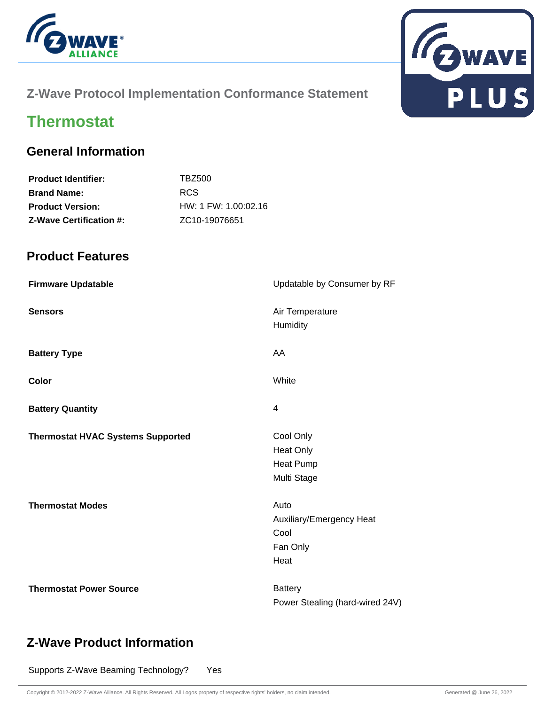



#### **Z-Wave Protocol Implementation Conformance Statement**

# **Thermostat**

#### **General Information**

| TBZ500                     |
|----------------------------|
| RCS.                       |
| HW: 1 FW: 1.00:02.16       |
| ZC <sub>10</sub> -19076651 |
|                            |

#### **Product Features**

| <b>Firmware Updatable</b>                | Updatable by Consumer by RF                                      |
|------------------------------------------|------------------------------------------------------------------|
| <b>Sensors</b>                           | Air Temperature<br>Humidity                                      |
| <b>Battery Type</b>                      | AA                                                               |
| Color                                    | White                                                            |
| <b>Battery Quantity</b>                  | 4                                                                |
| <b>Thermostat HVAC Systems Supported</b> | Cool Only<br><b>Heat Only</b><br><b>Heat Pump</b><br>Multi Stage |
| <b>Thermostat Modes</b>                  | Auto<br>Auxiliary/Emergency Heat<br>Cool<br>Fan Only<br>Heat     |
| <b>Thermostat Power Source</b>           | <b>Battery</b><br>Power Stealing (hard-wired 24V)                |

#### **Z-Wave Product Information**

Supports Z-Wave Beaming Technology? Yes